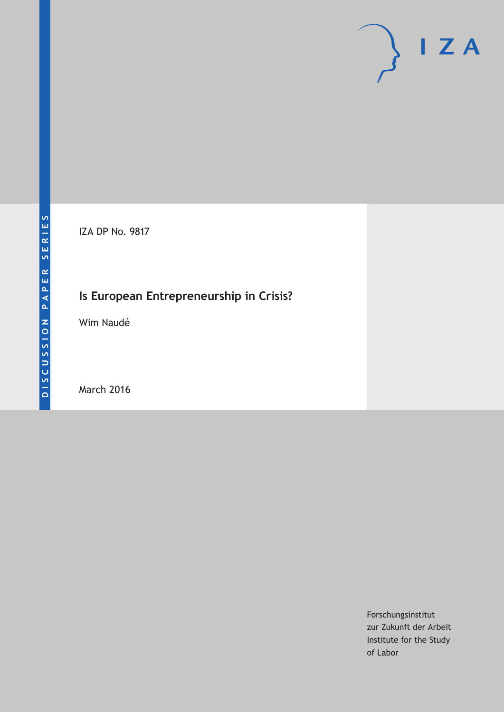# $I Z A$

IZA DP No. 9817

# **Is European Entrepreneurship in Crisis?**

Wim Naudé

March 2016

Forschungsinstitut zur Zukunft der Arbeit Institute for the Study of Labor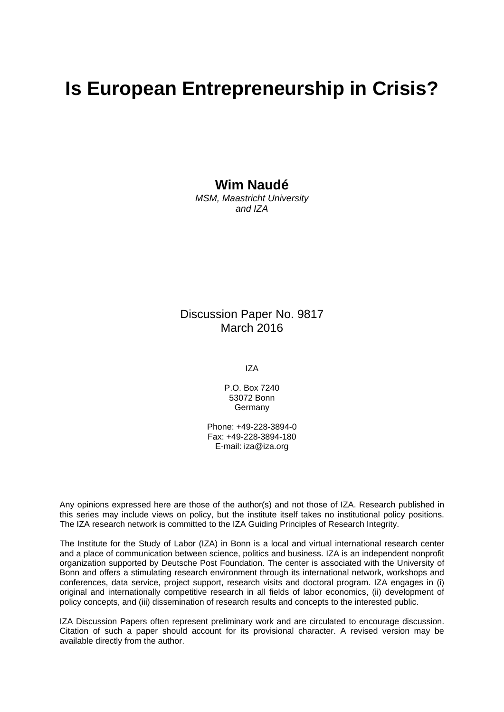# **Is European Entrepreneurship in Crisis?**

**Wim Naudé** 

*MSM, Maastricht University and IZA* 

Discussion Paper No. 9817 March 2016

IZA

P.O. Box 7240 53072 Bonn Germany

Phone: +49-228-3894-0 Fax: +49-228-3894-180 E-mail: iza@iza.org

Any opinions expressed here are those of the author(s) and not those of IZA. Research published in this series may include views on policy, but the institute itself takes no institutional policy positions. The IZA research network is committed to the IZA Guiding Principles of Research Integrity.

The Institute for the Study of Labor (IZA) in Bonn is a local and virtual international research center and a place of communication between science, politics and business. IZA is an independent nonprofit organization supported by Deutsche Post Foundation. The center is associated with the University of Bonn and offers a stimulating research environment through its international network, workshops and conferences, data service, project support, research visits and doctoral program. IZA engages in (i) original and internationally competitive research in all fields of labor economics, (ii) development of policy concepts, and (iii) dissemination of research results and concepts to the interested public.

IZA Discussion Papers often represent preliminary work and are circulated to encourage discussion. Citation of such a paper should account for its provisional character. A revised version may be available directly from the author.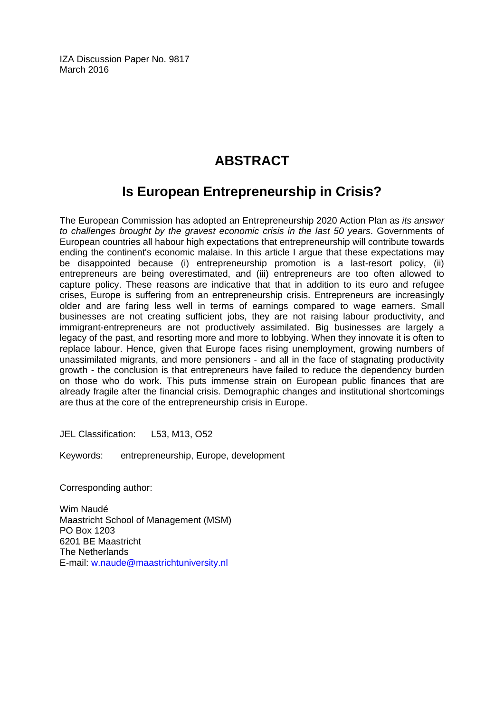IZA Discussion Paper No. 9817 March 2016

# **ABSTRACT**

## **Is European Entrepreneurship in Crisis?**

The European Commission has adopted an Entrepreneurship 2020 Action Plan as *its answer to challenges brought by the gravest economic crisis in the last 50 years*. Governments of European countries all habour high expectations that entrepreneurship will contribute towards ending the continent's economic malaise. In this article I argue that these expectations may be disappointed because (i) entrepreneurship promotion is a last-resort policy, (ii) entrepreneurs are being overestimated, and (iii) entrepreneurs are too often allowed to capture policy. These reasons are indicative that that in addition to its euro and refugee crises, Europe is suffering from an entrepreneurship crisis. Entrepreneurs are increasingly older and are faring less well in terms of earnings compared to wage earners. Small businesses are not creating sufficient jobs, they are not raising labour productivity, and immigrant-entrepreneurs are not productively assimilated. Big businesses are largely a legacy of the past, and resorting more and more to lobbying. When they innovate it is often to replace labour. Hence, given that Europe faces rising unemployment, growing numbers of unassimilated migrants, and more pensioners - and all in the face of stagnating productivity growth - the conclusion is that entrepreneurs have failed to reduce the dependency burden on those who do work. This puts immense strain on European public finances that are already fragile after the financial crisis. Demographic changes and institutional shortcomings are thus at the core of the entrepreneurship crisis in Europe.

JEL Classification: L53, M13, O52

Keywords: entrepreneurship, Europe, development

Corresponding author:

Wim Naudé Maastricht School of Management (MSM) PO Box 1203 6201 BE Maastricht The Netherlands E-mail: w.naude@maastrichtuniversity.nl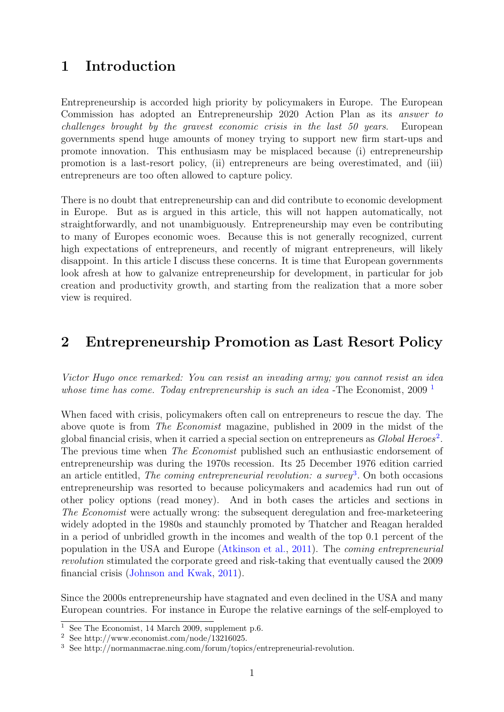### 1 Introduction

Entrepreneurship is accorded high priority by policymakers in Europe. The European Commission has adopted an Entrepreneurship 2020 Action Plan as its answer to challenges brought by the gravest economic crisis in the last 50 years. European governments spend huge amounts of money trying to support new firm start-ups and promote innovation. This enthusiasm may be misplaced because (i) entrepreneurship promotion is a last-resort policy, (ii) entrepreneurs are being overestimated, and (iii) entrepreneurs are too often allowed to capture policy.

There is no doubt that entrepreneurship can and did contribute to economic development in Europe. But as is argued in this article, this will not happen automatically, not straightforwardly, and not unambiguously. Entrepreneurship may even be contributing to many of Europes economic woes. Because this is not generally recognized, current high expectations of entrepreneurs, and recently of migrant entrepreneurs, will likely disappoint. In this article I discuss these concerns. It is time that European governments look afresh at how to galvanize entrepreneurship for development, in particular for job creation and productivity growth, and starting from the realization that a more sober view is required.

#### 2 Entrepreneurship Promotion as Last Resort Policy

Victor Hugo once remarked: You can resist an invading army; you cannot resist an idea whose time has come. Today entrepreneurship is such an idea -The Economist,  $2009<sup>-1</sup>$  $2009<sup>-1</sup>$  $2009<sup>-1</sup>$ 

When faced with crisis, policymakers often call on entrepreneurs to rescue the day. The above quote is from The Economist magazine, published in 2009 in the midst of the global financial crisis, when it carried a special section on entrepreneurs as  $Global$  Heroes<sup>[2](#page-3-1)</sup>. The previous time when *The Economist* published such an enthusiastic endorsement of entrepreneurship was during the 1970s recession. Its 25 December 1976 edition carried an article entitled, The coming entrepreneurial revolution: a survey<sup>[3](#page-3-2)</sup>. On both occasions entrepreneurship was resorted to because policymakers and academics had run out of other policy options (read money). And in both cases the articles and sections in The Economist were actually wrong: the subsequent deregulation and free-marketeering widely adopted in the 1980s and staunchly promoted by Thatcher and Reagan heralded in a period of unbridled growth in the incomes and wealth of the top 0.1 percent of the population in the USA and Europe [\(Atkinson et al.,](#page-10-0) [2011\)](#page-10-0). The coming entrepreneurial revolution stimulated the corporate greed and risk-taking that eventually caused the 2009 financial crisis [\(Johnson and Kwak,](#page-11-0) [2011\)](#page-11-0).

Since the 2000s entrepreneurship have stagnated and even declined in the USA and many European countries. For instance in Europe the relative earnings of the self-employed to

<span id="page-3-0"></span><sup>&</sup>lt;sup>1</sup> See The Economist, 14 March 2009, supplement p.6.

<span id="page-3-1"></span><sup>2</sup> See http://www.economist.com/node/13216025.

<span id="page-3-2"></span><sup>3</sup> See http://normanmacrae.ning.com/forum/topics/entrepreneurial-revolution.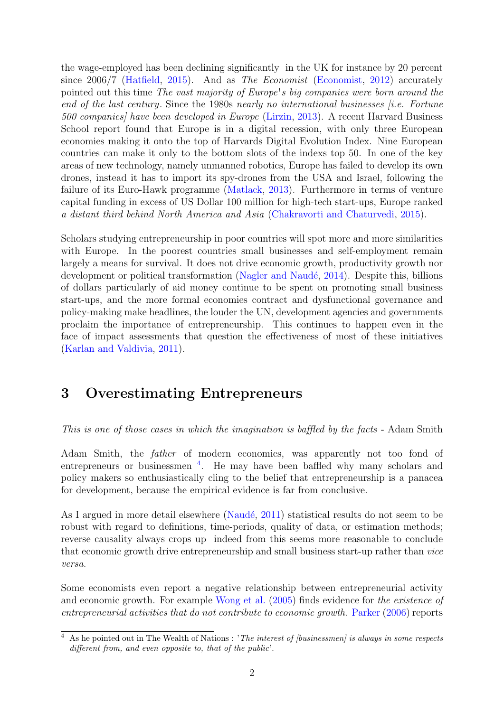the wage-employed has been declining significantly in the UK for instance by 20 percent since 2006/7 [\(Hatfield,](#page-11-1) [2015\)](#page-11-1). And as The Economist [\(Economist,](#page-11-2) [2012\)](#page-11-2) accurately pointed out this time The vast majority of Europe's big companies were born around the end of the last century. Since the 1980s nearly no international businesses  $(i.e.$  Fortune 500 companies] have been developed in Europe [\(Lirzin,](#page-11-3) [2013\)](#page-11-3). A recent Harvard Business School report found that Europe is in a digital recession, with only three European economies making it onto the top of Harvards Digital Evolution Index. Nine European countries can make it only to the bottom slots of the indexs top 50. In one of the key areas of new technology, namely unmanned robotics, Europe has failed to develop its own drones, instead it has to import its spy-drones from the USA and Israel, following the failure of its Euro-Hawk programme [\(Matlack,](#page-11-4) [2013\)](#page-11-4). Furthermore in terms of venture capital funding in excess of US Dollar 100 million for high-tech start-ups, Europe ranked a distant third behind North America and Asia [\(Chakravorti and Chaturvedi,](#page-11-5) [2015\)](#page-11-5).

Scholars studying entrepreneurship in poor countries will spot more and more similarities with Europe. In the poorest countries small businesses and self-employment remain largely a means for survival. It does not drive economic growth, productivity growth nor development or political transformation (Nagler and Naudé, [2014\)](#page-11-6). Despite this, billions of dollars particularly of aid money continue to be spent on promoting small business start-ups, and the more formal economies contract and dysfunctional governance and policy-making make headlines, the louder the UN, development agencies and governments proclaim the importance of entrepreneurship. This continues to happen even in the face of impact assessments that question the effectiveness of most of these initiatives [\(Karlan and Valdivia,](#page-11-7) [2011\)](#page-11-7).

#### 3 Overestimating Entrepreneurs

This is one of those cases in which the imagination is baffled by the facts - Adam Smith

Adam Smith, the father of modern economics, was apparently not too fond of entrepreneurs or businessmen<sup>[4](#page-4-0)</sup>. He may have been baffled why many scholars and policy makers so enthusiastically cling to the belief that entrepreneurship is a panacea for development, because the empirical evidence is far from conclusive.

As I argued in more detail elsewhere (Naudé, [2011\)](#page-12-0) statistical results do not seem to be robust with regard to definitions, time-periods, quality of data, or estimation methods; reverse causality always crops up indeed from this seems more reasonable to conclude that economic growth drive entrepreneurship and small business start-up rather than vice versa.

Some economists even report a negative relationship between entrepreneurial activity and economic growth. For example [Wong et al.](#page-12-1) [\(2005\)](#page-12-1) finds evidence for the existence of entrepreneurial activities that do not contribute to economic growth. [Parker](#page-12-2) [\(2006\)](#page-12-2) reports

<span id="page-4-0"></span> $4$  As he pointed out in The Wealth of Nations : 'The interest of [businessmen] is always in some respects different from, and even opposite to, that of the public'.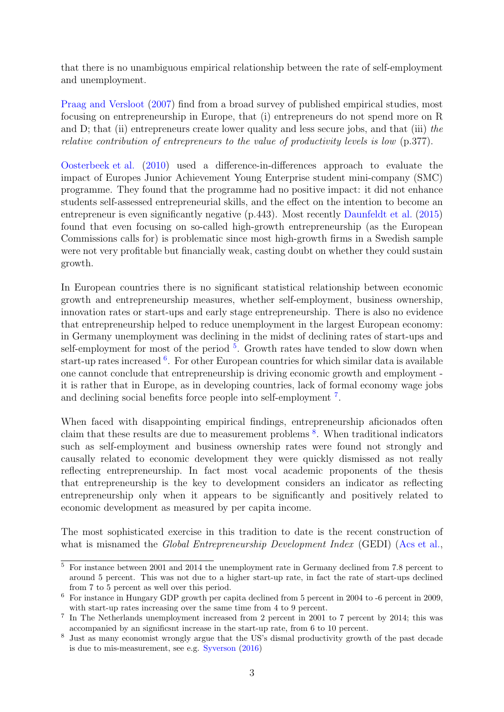that there is no unambiguous empirical relationship between the rate of self-employment and unemployment.

[Praag and Versloot](#page-12-3) [\(2007\)](#page-12-3) find from a broad survey of published empirical studies, most focusing on entrepreneurship in Europe, that (i) entrepreneurs do not spend more on R and D; that (ii) entrepreneurs create lower quality and less secure jobs, and that (iii) the relative contribution of entrepreneurs to the value of productivity levels is low (p.377).

[Oosterbeek et al.](#page-12-4) [\(2010\)](#page-12-4) used a difference-in-differences approach to evaluate the impact of Europes Junior Achievement Young Enterprise student mini-company (SMC) programme. They found that the programme had no positive impact: it did not enhance students self-assessed entrepreneurial skills, and the effect on the intention to become an entrepreneur is even significantly negative (p.443). Most recently [Daunfeldt et al.](#page-11-8) [\(2015\)](#page-11-8) found that even focusing on so-called high-growth entrepreneurship (as the European Commissions calls for) is problematic since most high-growth firms in a Swedish sample were not very profitable but financially weak, casting doubt on whether they could sustain growth.

In European countries there is no significant statistical relationship between economic growth and entrepreneurship measures, whether self-employment, business ownership, innovation rates or start-ups and early stage entrepreneurship. There is also no evidence that entrepreneurship helped to reduce unemployment in the largest European economy: in Germany unemployment was declining in the midst of declining rates of start-ups and self-employment for most of the period  $5$ . Growth rates have tended to slow down when start-up rates increased <sup>[6](#page-5-1)</sup>. For other European countries for which similar data is available one cannot conclude that entrepreneurship is driving economic growth and employment it is rather that in Europe, as in developing countries, lack of formal economy wage jobs and declining social benefits force people into self-employment<sup>[7](#page-5-2)</sup>.

When faced with disappointing empirical findings, entrepreneurship aficionados often claim that these results are due to measurement problems [8](#page-5-3) . When traditional indicators such as self-employment and business ownership rates were found not strongly and causally related to economic development they were quickly dismissed as not really reflecting entrepreneurship. In fact most vocal academic proponents of the thesis that entrepreneurship is the key to development considers an indicator as reflecting entrepreneurship only when it appears to be significantly and positively related to economic development as measured by per capita income.

The most sophisticated exercise in this tradition to date is the recent construction of what is misnamed the *Global Entrepreneurship Development Index* (GEDI) [\(Acs et al.,](#page-10-1)

<span id="page-5-0"></span><sup>&</sup>lt;sup>5</sup> For instance between 2001 and 2014 the unemployment rate in Germany declined from 7.8 percent to around 5 percent. This was not due to a higher start-up rate, in fact the rate of start-ups declined from 7 to 5 percent as well over this period.

<span id="page-5-1"></span><sup>6</sup> For instance in Hungary GDP growth per capita declined from 5 percent in 2004 to -6 percent in 2009, with start-up rates increasing over the same time from 4 to 9 percent.

<span id="page-5-2"></span><sup>7</sup> In The Netherlands unemployment increased from 2 percent in 2001 to 7 percent by 2014; this was accompanied by an significsnt increase in the start-up rate, from 6 to 10 percent.

<span id="page-5-3"></span><sup>8</sup> Just as many economist wrongly argue that the US's dismal productivity growth of the past decade is due to mis-measurement, see e.g. [Syverson](#page-12-5) [\(2016\)](#page-12-5)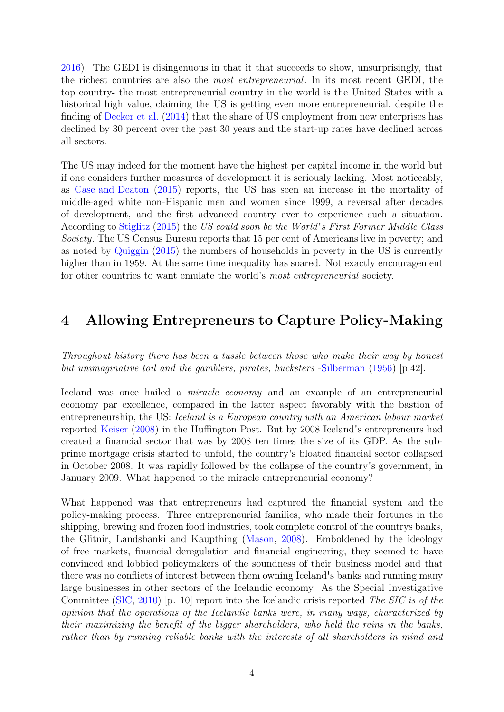[2016\)](#page-10-1). The GEDI is disingenuous in that it that succeeds to show, unsurprisingly, that the richest countries are also the most entrepreneurial. In its most recent GEDI, the top country- the most entrepreneurial country in the world is the United States with a historical high value, claiming the US is getting even more entrepreneurial, despite the finding of [Decker et al.](#page-11-9) [\(2014\)](#page-11-9) that the share of US employment from new enterprises has declined by 30 percent over the past 30 years and the start-up rates have declined across all sectors.

The US may indeed for the moment have the highest per capital income in the world but if one considers further measures of development it is seriously lacking. Most noticeably, as [Case and Deaton](#page-10-2) [\(2015\)](#page-10-2) reports, the US has seen an increase in the mortality of middle-aged white non-Hispanic men and women since 1999, a reversal after decades of development, and the first advanced country ever to experience such a situation. According to [Stiglitz](#page-12-6) [\(2015\)](#page-12-6) the US could soon be the World's First Former Middle Class Society. The US Census Bureau reports that 15 per cent of Americans live in poverty; and as noted by [Quiggin](#page-12-7) [\(2015\)](#page-12-7) the numbers of households in poverty in the US is currently higher than in 1959. At the same time inequality has soared. Not exactly encouragement for other countries to want emulate the world's most entrepreneurial society.

#### 4 Allowing Entrepreneurs to Capture Policy-Making

Throughout history there has been a tussle between those who make their way by honest but unimaginative toil and the gamblers, pirates, hucksters [-Silberman](#page-12-8) [\(1956\)](#page-12-8) [p.42].

Iceland was once hailed a miracle economy and an example of an entrepreneurial economy par excellence, compared in the latter aspect favorably with the bastion of entrepreneurship, the US: Iceland is a European country with an American labour market reported [Keiser](#page-11-10) [\(2008\)](#page-11-10) in the Huffington Post. But by 2008 Iceland's entrepreneurs had created a financial sector that was by 2008 ten times the size of its GDP. As the subprime mortgage crisis started to unfold, the country's bloated financial sector collapsed in October 2008. It was rapidly followed by the collapse of the country's government, in January 2009. What happened to the miracle entrepreneurial economy?

What happened was that entrepreneurs had captured the financial system and the policy-making process. Three entrepreneurial families, who made their fortunes in the shipping, brewing and frozen food industries, took complete control of the countrys banks, the Glitnir, Landsbanki and Kaupthing [\(Mason,](#page-11-11) [2008\)](#page-11-11). Emboldened by the ideology of free markets, financial deregulation and financial engineering, they seemed to have convinced and lobbied policymakers of the soundness of their business model and that there was no conflicts of interest between them owning Iceland's banks and running many large businesses in other sectors of the Icelandic economy. As the Special Investigative Committee [\(SIC,](#page-12-9) [2010\)](#page-12-9) [p. 10] report into the Icelandic crisis reported The SIC is of the opinion that the operations of the Icelandic banks were, in many ways, characterized by their maximizing the benefit of the bigger shareholders, who held the reins in the banks, rather than by running reliable banks with the interests of all shareholders in mind and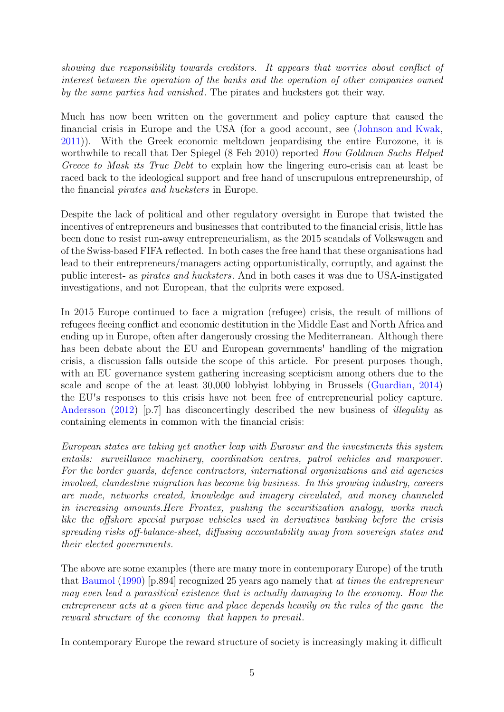showing due responsibility towards creditors. It appears that worries about conflict of interest between the operation of the banks and the operation of other companies owned by the same parties had vanished. The pirates and hucksters got their way.

Much has now been written on the government and policy capture that caused the financial crisis in Europe and the USA (for a good account, see [\(Johnson and Kwak,](#page-11-0) [2011\)](#page-11-0)). With the Greek economic meltdown jeopardising the entire Eurozone, it is worthwhile to recall that Der Spiegel (8 Feb 2010) reported How Goldman Sachs Helped Greece to Mask its True Debt to explain how the lingering euro-crisis can at least be raced back to the ideological support and free hand of unscrupulous entrepreneurship, of the financial pirates and hucksters in Europe.

Despite the lack of political and other regulatory oversight in Europe that twisted the incentives of entrepreneurs and businesses that contributed to the financial crisis, little has been done to resist run-away entrepreneurialism, as the 2015 scandals of Volkswagen and of the Swiss-based FIFA reflected. In both cases the free hand that these organisations had lead to their entrepreneurs/managers acting opportunistically, corruptly, and against the public interest- as pirates and hucksters. And in both cases it was due to USA-instigated investigations, and not European, that the culprits were exposed.

In 2015 Europe continued to face a migration (refugee) crisis, the result of millions of refugees fleeing conflict and economic destitution in the Middle East and North Africa and ending up in Europe, often after dangerously crossing the Mediterranean. Although there has been debate about the EU and European governments' handling of the migration crisis, a discussion falls outside the scope of this article. For present purposes though, with an EU governance system gathering increasing scepticism among others due to the scale and scope of the at least 30,000 lobbyist lobbying in Brussels [\(Guardian,](#page-11-12) [2014\)](#page-11-12) the EU's responses to this crisis have not been free of entrepreneurial policy capture. [Andersson](#page-10-3) [\(2012\)](#page-10-3) [p.7] has disconcertingly described the new business of *illegality* as containing elements in common with the financial crisis:

European states are taking yet another leap with Eurosur and the investments this system entails: surveillance machinery, coordination centres, patrol vehicles and manpower. For the border guards, defence contractors, international organizations and aid agencies involved, clandestine migration has become big business. In this growing industry, careers are made, networks created, knowledge and imagery circulated, and money channeled in increasing amounts.Here Frontex, pushing the securitization analogy, works much like the offshore special purpose vehicles used in derivatives banking before the crisis spreading risks off-balance-sheet, diffusing accountability away from sovereign states and their elected governments.

The above are some examples (there are many more in contemporary Europe) of the truth that [Baumol](#page-10-4) [\(1990\)](#page-10-4) [p.894] recognized 25 years ago namely that at times the entrepreneur may even lead a parasitical existence that is actually damaging to the economy. How the entrepreneur acts at a given time and place depends heavily on the rules of the game the reward structure of the economy that happen to prevail.

In contemporary Europe the reward structure of society is increasingly making it difficult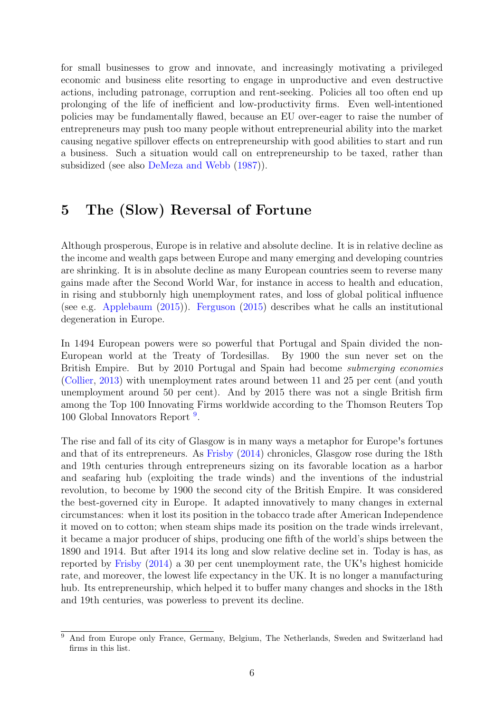for small businesses to grow and innovate, and increasingly motivating a privileged economic and business elite resorting to engage in unproductive and even destructive actions, including patronage, corruption and rent-seeking. Policies all too often end up prolonging of the life of inefficient and low-productivity firms. Even well-intentioned policies may be fundamentally flawed, because an EU over-eager to raise the number of entrepreneurs may push too many people without entrepreneurial ability into the market causing negative spillover effects on entrepreneurship with good abilities to start and run a business. Such a situation would call on entrepreneurship to be taxed, rather than subsidized (see also [DeMeza and Webb](#page-11-13) [\(1987\)](#page-11-13)).

#### 5 The (Slow) Reversal of Fortune

Although prosperous, Europe is in relative and absolute decline. It is in relative decline as the income and wealth gaps between Europe and many emerging and developing countries are shrinking. It is in absolute decline as many European countries seem to reverse many gains made after the Second World War, for instance in access to health and education, in rising and stubbornly high unemployment rates, and loss of global political influence (see e.g. [Applebaum](#page-10-5) [\(2015\)](#page-10-5)). [Ferguson](#page-11-14) [\(2015\)](#page-11-14) describes what he calls an institutional degeneration in Europe.

In 1494 European powers were so powerful that Portugal and Spain divided the non-European world at the Treaty of Tordesillas. By 1900 the sun never set on the British Empire. But by 2010 Portugal and Spain had become submerging economies [\(Collier,](#page-11-15) [2013\)](#page-11-15) with unemployment rates around between 11 and 25 per cent (and youth unemployment around 50 per cent). And by 2015 there was not a single British firm among the Top 100 Innovating Firms worldwide according to the Thomson Reuters Top 100 Global Innovators Report<sup>[9](#page-8-0)</sup>.

The rise and fall of its city of Glasgow is in many ways a metaphor for Europe's fortunes and that of its entrepreneurs. As [Frisby](#page-11-16) [\(2014\)](#page-11-16) chronicles, Glasgow rose during the 18th and 19th centuries through entrepreneurs sizing on its favorable location as a harbor and seafaring hub (exploiting the trade winds) and the inventions of the industrial revolution, to become by 1900 the second city of the British Empire. It was considered the best-governed city in Europe. It adapted innovatively to many changes in external circumstances: when it lost its position in the tobacco trade after American Independence it moved on to cotton; when steam ships made its position on the trade winds irrelevant, it became a major producer of ships, producing one fifth of the world's ships between the 1890 and 1914. But after 1914 its long and slow relative decline set in. Today is has, as reported by [Frisby](#page-11-16) [\(2014\)](#page-11-16) a 30 per cent unemployment rate, the UK's highest homicide rate, and moreover, the lowest life expectancy in the UK. It is no longer a manufacturing hub. Its entrepreneurship, which helped it to buffer many changes and shocks in the 18th and 19th centuries, was powerless to prevent its decline.

<span id="page-8-0"></span> $\overline{9}$  And from Europe only France, Germany, Belgium, The Netherlands, Sweden and Switzerland had firms in this list.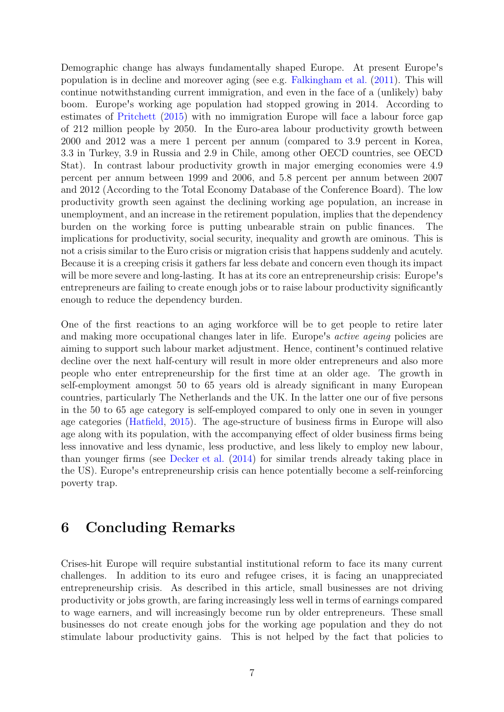Demographic change has always fundamentally shaped Europe. At present Europe's population is in decline and moreover aging (see e.g. [Falkingham et al.](#page-11-17) [\(2011\)](#page-11-17). This will continue notwithstanding current immigration, and even in the face of a (unlikely) baby boom. Europe's working age population had stopped growing in 2014. According to estimates of [Pritchett](#page-12-10) [\(2015\)](#page-12-10) with no immigration Europe will face a labour force gap of 212 million people by 2050. In the Euro-area labour productivity growth between 2000 and 2012 was a mere 1 percent per annum (compared to 3.9 percent in Korea, 3.3 in Turkey, 3.9 in Russia and 2.9 in Chile, among other OECD countries, see OECD Stat). In contrast labour productivity growth in major emerging economies were 4.9 percent per annum between 1999 and 2006, and 5.8 percent per annum between 2007 and 2012 (According to the Total Economy Database of the Conference Board). The low productivity growth seen against the declining working age population, an increase in unemployment, and an increase in the retirement population, implies that the dependency burden on the working force is putting unbearable strain on public finances. The implications for productivity, social security, inequality and growth are ominous. This is not a crisis similar to the Euro crisis or migration crisis that happens suddenly and acutely. Because it is a creeping crisis it gathers far less debate and concern even though its impact will be more severe and long-lasting. It has at its core an entrepreneurship crisis: Europe's entrepreneurs are failing to create enough jobs or to raise labour productivity significantly enough to reduce the dependency burden.

One of the first reactions to an aging workforce will be to get people to retire later and making more occupational changes later in life. Europe's *active ageing* policies are aiming to support such labour market adjustment. Hence, continent's continued relative decline over the next half-century will result in more older entrepreneurs and also more people who enter entrepreneurship for the first time at an older age. The growth in self-employment amongst 50 to 65 years old is already significant in many European countries, particularly The Netherlands and the UK. In the latter one our of five persons in the 50 to 65 age category is self-employed compared to only one in seven in younger age categories [\(Hatfield,](#page-11-1) [2015\)](#page-11-1). The age-structure of business firms in Europe will also age along with its population, with the accompanying effect of older business firms being less innovative and less dynamic, less productive, and less likely to employ new labour, than younger firms (see [Decker et al.](#page-11-9) [\(2014\)](#page-11-9) for similar trends already taking place in the US). Europe's entrepreneurship crisis can hence potentially become a self-reinforcing poverty trap.

#### 6 Concluding Remarks

Crises-hit Europe will require substantial institutional reform to face its many current challenges. In addition to its euro and refugee crises, it is facing an unappreciated entrepreneurship crisis. As described in this article, small businesses are not driving productivity or jobs growth, are faring increasingly less well in terms of earnings compared to wage earners, and will increasingly become run by older entrepreneurs. These small businesses do not create enough jobs for the working age population and they do not stimulate labour productivity gains. This is not helped by the fact that policies to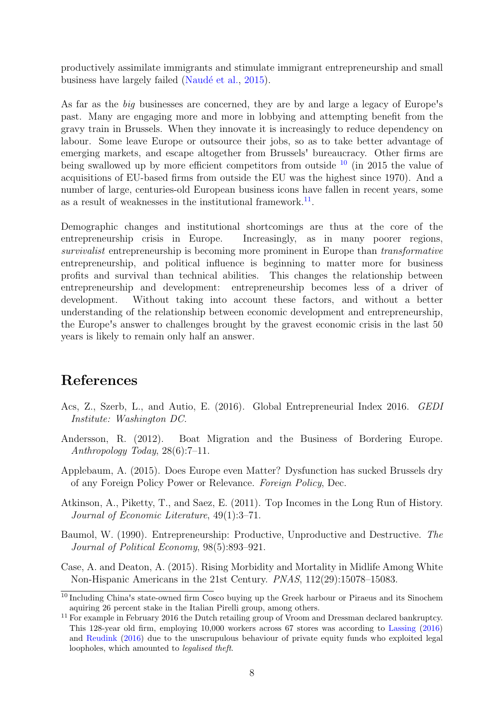productively assimilate immigrants and stimulate immigrant entrepreneurship and small business have largely failed (Naudé et al., [2015\)](#page-12-11).

As far as the big businesses are concerned, they are by and large a legacy of Europe's past. Many are engaging more and more in lobbying and attempting benefit from the gravy train in Brussels. When they innovate it is increasingly to reduce dependency on labour. Some leave Europe or outsource their jobs, so as to take better advantage of emerging markets, and escape altogether from Brussels' bureaucracy. Other firms are being swallowed up by more efficient competitors from outside  $10$  (in 2015 the value of acquisitions of EU-based firms from outside the EU was the highest since 1970). And a number of large, centuries-old European business icons have fallen in recent years, some as a result of weaknesses in the institutional framework.<sup>[11](#page-10-7)</sup>.

Demographic changes and institutional shortcomings are thus at the core of the entrepreneurship crisis in Europe. Increasingly, as in many poorer regions, survivalist entrepreneurship is becoming more prominent in Europe than transformative entrepreneurship, and political influence is beginning to matter more for business profits and survival than technical abilities. This changes the relationship between entrepreneurship and development: entrepreneurship becomes less of a driver of development. Without taking into account these factors, and without a better understanding of the relationship between economic development and entrepreneurship, the Europe's answer to challenges brought by the gravest economic crisis in the last 50 years is likely to remain only half an answer.

#### References

- <span id="page-10-1"></span>Acs, Z., Szerb, L., and Autio, E. (2016). Global Entrepreneurial Index 2016. GEDI Institute: Washington DC.
- <span id="page-10-3"></span>Andersson, R. (2012). Boat Migration and the Business of Bordering Europe. Anthropology Today, 28(6):7–11.
- <span id="page-10-5"></span>Applebaum, A. (2015). Does Europe even Matter? Dysfunction has sucked Brussels dry of any Foreign Policy Power or Relevance. Foreign Policy, Dec.
- <span id="page-10-0"></span>Atkinson, A., Piketty, T., and Saez, E. (2011). Top Incomes in the Long Run of History. Journal of Economic Literature, 49(1):3–71.
- <span id="page-10-4"></span>Baumol, W. (1990). Entrepreneurship: Productive, Unproductive and Destructive. The Journal of Political Economy, 98(5):893–921.
- <span id="page-10-2"></span>Case, A. and Deaton, A. (2015). Rising Morbidity and Mortality in Midlife Among White Non-Hispanic Americans in the 21st Century. PNAS, 112(29):15078–15083.

<span id="page-10-6"></span><sup>&</sup>lt;sup>10</sup> Including China's state-owned firm Cosco buying up the Greek harbour or Piraeus and its Sinochem aquiring 26 percent stake in the Italian Pirelli group, among others.

<span id="page-10-7"></span><sup>&</sup>lt;sup>11</sup> For example in February 2016 the Dutch retailing group of Vroom and Dressman declared bankruptcy. This 128-year old firm, employing 10,000 workers across 67 stores was according to [Lassing](#page-11-18) [\(2016\)](#page-11-18) and [Reudink](#page-12-12) [\(2016\)](#page-12-12) due to the unscrupulous behaviour of private equity funds who exploited legal loopholes, which amounted to legalised theft.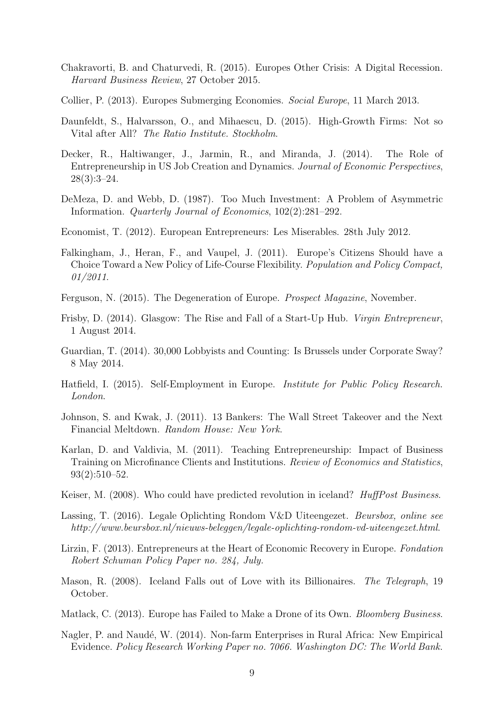- <span id="page-11-5"></span>Chakravorti, B. and Chaturvedi, R. (2015). Europes Other Crisis: A Digital Recession. Harvard Business Review, 27 October 2015.
- <span id="page-11-15"></span>Collier, P. (2013). Europes Submerging Economies. Social Europe, 11 March 2013.
- <span id="page-11-8"></span>Daunfeldt, S., Halvarsson, O., and Mihaescu, D. (2015). High-Growth Firms: Not so Vital after All? The Ratio Institute. Stockholm.
- <span id="page-11-9"></span>Decker, R., Haltiwanger, J., Jarmin, R., and Miranda, J. (2014). The Role of Entrepreneurship in US Job Creation and Dynamics. Journal of Economic Perspectives,  $28(3):3-24.$
- <span id="page-11-13"></span>DeMeza, D. and Webb, D. (1987). Too Much Investment: A Problem of Asymmetric Information. Quarterly Journal of Economics, 102(2):281–292.
- <span id="page-11-2"></span>Economist, T. (2012). European Entrepreneurs: Les Miserables. 28th July 2012.
- <span id="page-11-17"></span>Falkingham, J., Heran, F., and Vaupel, J. (2011). Europe's Citizens Should have a Choice Toward a New Policy of Life-Course Flexibility. Population and Policy Compact, 01/2011.
- <span id="page-11-14"></span>Ferguson, N. (2015). The Degeneration of Europe. Prospect Magazine, November.
- <span id="page-11-16"></span>Frisby, D. (2014). Glasgow: The Rise and Fall of a Start-Up Hub. Virgin Entrepreneur, 1 August 2014.
- <span id="page-11-12"></span>Guardian, T. (2014). 30,000 Lobbyists and Counting: Is Brussels under Corporate Sway? 8 May 2014.
- <span id="page-11-1"></span>Hatfield, I. (2015). Self-Employment in Europe. Institute for Public Policy Research. London.
- <span id="page-11-0"></span>Johnson, S. and Kwak, J. (2011). 13 Bankers: The Wall Street Takeover and the Next Financial Meltdown. Random House: New York.
- <span id="page-11-7"></span>Karlan, D. and Valdivia, M. (2011). Teaching Entrepreneurship: Impact of Business Training on Microfinance Clients and Institutions. Review of Economics and Statistics, 93(2):510–52.
- <span id="page-11-10"></span>Keiser, M. (2008). Who could have predicted revolution in iceland? *HuffPost Business*.
- <span id="page-11-18"></span>Lassing, T. (2016). Legale Oplichting Rondom V&D Uiteengezet. Beursbox, online see http://www.beursbox.nl/nieuws-beleggen/legale-oplichting-rondom-vd-uiteengezet.html.
- <span id="page-11-3"></span>Lirzin, F. (2013). Entrepreneurs at the Heart of Economic Recovery in Europe. Fondation Robert Schuman Policy Paper no. 284, July.
- <span id="page-11-11"></span>Mason, R. (2008). Iceland Falls out of Love with its Billionaires. The Telegraph, 19 October.
- <span id="page-11-4"></span>Matlack, C. (2013). Europe has Failed to Make a Drone of its Own. Bloomberg Business.
- <span id="page-11-6"></span>Nagler, P. and Naudé, W. (2014). Non-farm Enterprises in Rural Africa: New Empirical Evidence. Policy Research Working Paper no. 7066. Washington DC: The World Bank.